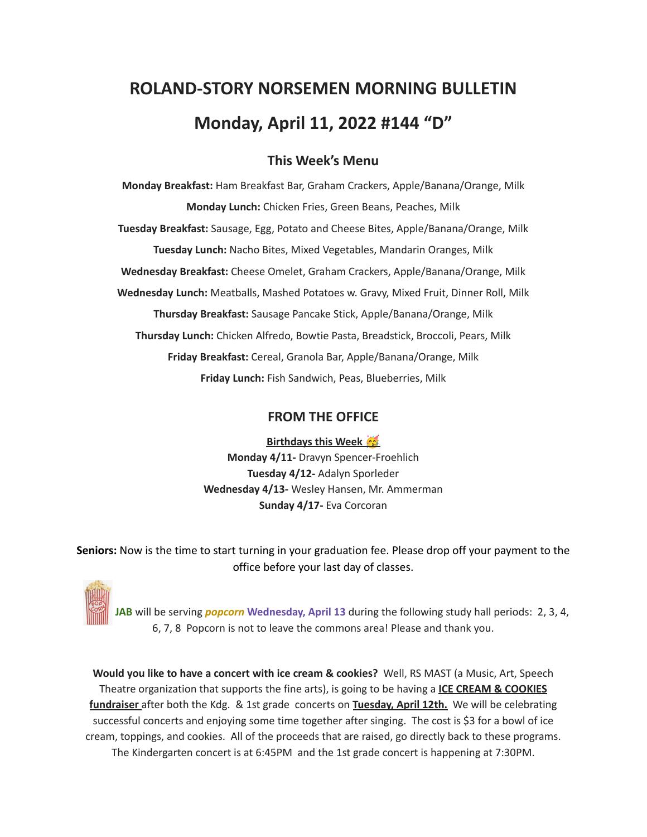# **ROLAND-STORY NORSEMEN MORNING BULLETIN Monday, April 11, 2022 #144 "D"**

## **This Week's Menu**

**Monday Breakfast:** Ham Breakfast Bar, Graham Crackers, Apple/Banana/Orange, Milk **Monday Lunch:** Chicken Fries, Green Beans, Peaches, Milk **Tuesday Breakfast:** Sausage, Egg, Potato and Cheese Bites, Apple/Banana/Orange, Milk **Tuesday Lunch:** Nacho Bites, Mixed Vegetables, Mandarin Oranges, Milk **Wednesday Breakfast:** Cheese Omelet, Graham Crackers, Apple/Banana/Orange, Milk **Wednesday Lunch:** Meatballs, Mashed Potatoes w. Gravy, Mixed Fruit, Dinner Roll, Milk **Thursday Breakfast:** Sausage Pancake Stick, Apple/Banana/Orange, Milk **Thursday Lunch:** Chicken Alfredo, Bowtie Pasta, Breadstick, Broccoli, Pears, Milk **Friday Breakfast:** Cereal, Granola Bar, Apple/Banana/Orange, Milk **Friday Lunch:** Fish Sandwich, Peas, Blueberries, Milk

## **FROM THE OFFICE**

**Birthdays this Week Monday 4/11-** Dravyn Spencer-Froehlich **Tuesday 4/12-** Adalyn Sporleder **Wednesday 4/13-** Wesley Hansen, Mr. Ammerman **Sunday 4/17-** Eva Corcoran

**Seniors:** Now is the time to start turning in your graduation fee. Please drop off your payment to the office before your last day of classes.



**JAB** will be serving *popcorn* **Wednesday, April 13** during the following study hall periods: 2, 3, 4, 6, 7, 8 Popcorn is not to leave the commons area! Please and thank you.

**Would you like to have a concert with ice cream & cookies?** Well, RS MAST (a Music, Art, Speech Theatre organization that supports the fine arts), is going to be having a **ICE CREAM & COOKIES fundraiser** after both the Kdg. & 1st grade concerts on **Tuesday, April 12th.** We will be celebrating successful concerts and enjoying some time together after singing. The cost is \$3 for a bowl of ice cream, toppings, and cookies. All of the proceeds that are raised, go directly back to these programs. The Kindergarten concert is at 6:45PM and the 1st grade concert is happening at 7:30PM.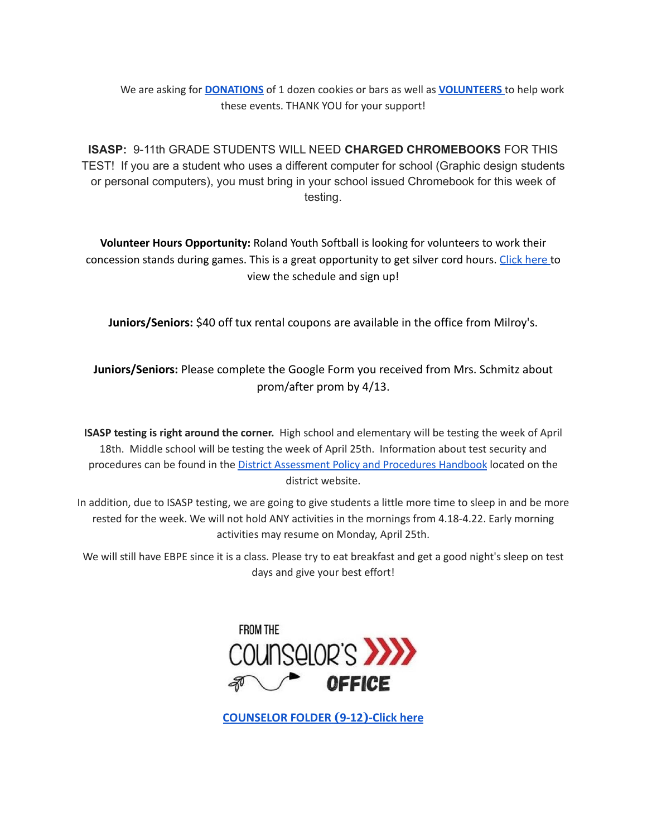We are asking for **[DONATIONS](https://www.signupgenius.com/go/4090C45ACAC2BA31-kdg)** of 1 dozen cookies or bars as well as **[VOLUNTEERS](https://www.signupgenius.com/go/4090C45ACAC2BA31-volunteers)** to help work these events. THANK YOU for your support!

**ISASP:** 9-11th GRADE STUDENTS WILL NEED **CHARGED CHROMEBOOKS** FOR THIS TEST! If you are a student who uses a different computer for school (Graphic design students or personal computers), you must bring in your school issued Chromebook for this week of testing.

**Volunteer Hours Opportunity:** Roland Youth Softball is looking for volunteers to work their concession stands during games. This is a great opportunity to get silver cord hours. [Click](https://www.signupgenius.com/go/70a094facac2aa0f85-roland1) here to view the schedule and sign up!

**Juniors/Seniors:** \$40 off tux rental coupons are available in the office from Milroy's.

**Juniors/Seniors:** Please complete the Google Form you received from Mrs. Schmitz about prom/after prom by 4/13.

**ISASP testing is right around the corner.** High school and elementary will be testing the week of April 18th. Middle school will be testing the week of April 25th. Information about test security and procedures can be found in the District [Assessment](https://rolandstory.school/media/Michelle%20Soderstrum/RSCSD_District_Assessment_Poli%20-%20Copy%203.pdf) Policy and Procedures Handbook located on the district website.

In addition, due to ISASP testing, we are going to give students a little more time to sleep in and be more rested for the week. We will not hold ANY activities in the mornings from 4.18-4.22. Early morning activities may resume on Monday, April 25th.

We will still have EBPE since it is a class. Please try to eat breakfast and get a good night's sleep on test days and give your best effort!



**[COUNSELOR FOLDER](https://docs.google.com/document/d/1vmwczNPbDzXe9vFaG5LJMQ7NYDv-i4oQJHybqA65TUc/edit?usp=sharing) (9-12)-Click here**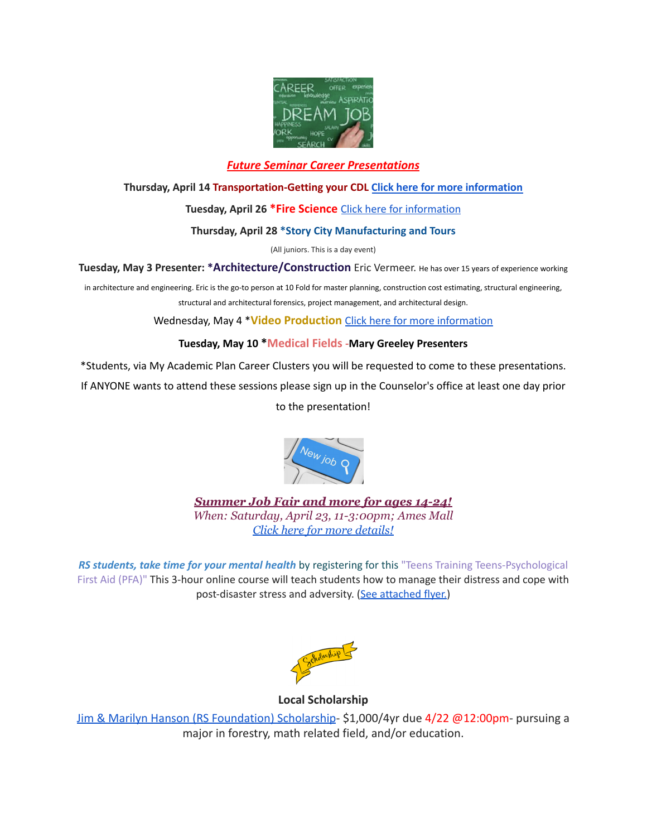

#### *Future Seminar Career Presentations*

#### **Thursday, April 14 Transportation-Getting your CDL Click here for more [information](https://www.dmacc.edu/truckdrivingschools/Pages/welcome.aspx)**

#### **Tuesday, April 26 \*Fire Science** Click here for [information](https://www.dmacc.edu/programs/fire/Pages/welcome.aspx)

#### **Thursday, April 28 \*Story City Manufacturing and Tours**

(All juniors. This is a day event)

**Tuesday, May 3 Presenter: \*Architecture/Construction** Eric Vermeer. He has over <sup>15</sup> years of experience working

in architecture and engineering. Eric is the go-to person at 10 Fold for master planning, construction cost estimating, structural engineering, structural and architectural forensics, project management, and architectural design.

Wednesday, May 4 \***Video Production** Click here for more [information](https://www.dmacc.edu/programs/video/Pages/welcome.aspx)

#### **Tuesday, May 10 \*Medical Fields -Mary Greeley Presenters**

\*Students, via My Academic Plan Career Clusters you will be requested to come to these presentations.

If ANYONE wants to attend these sessions please sign up in the Counselor's office at least one day prior to the presentation!



*Summer Job Fair and more for ages 14-24! When: Saturday, April 23, 11-3:00pm; Ames Mall Click here for more [details!](https://drive.google.com/file/d/1oRnZjYZwcrPoadOvdDvW1Xo67Q_emRhm/view?usp=sharing)*

*RS students, take time for your mental health* by registering for this "Teens Training Teens-Psychological First Aid (PFA)" This 3-hour online course will teach students how to manage their distress and cope with post-disaster stress and adversity. (See [attached](https://drive.google.com/file/d/18ZxsDgb9mTVccDP5AD1ejwqoEi1MNUwE/view?usp=sharing) flyer.)



**Local Scholarship**

[Jim & Marilyn Hanson \(RS Foundation\) Scholarship](https://docs.google.com/document/d/1ZTlh8dBWKYLTE2ZXAX8cFE_071yzMHCiRBXRqeR_Sv8/edit?usp=sharing)- \$1,000/4yr due 4/22 @12:00pm- pursuing a major in forestry, math related field, and/or education.